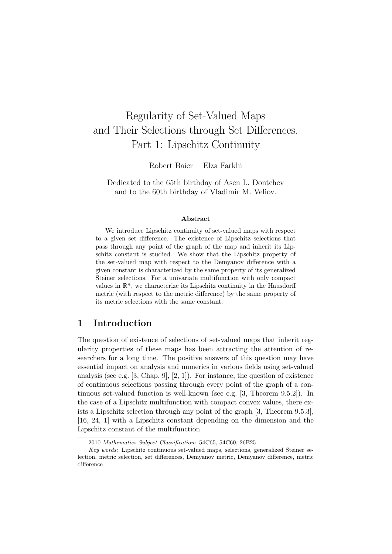# Regularity of Set-Valued Maps and Their Selections through Set Differences. Part 1: Lipschitz Continuity

Robert Baier Elza Farkhi

Dedicated to the 65th birthday of Asen L. Dontchev and to the 60th birthday of Vladimir M. Veliov.

#### Abstract

We introduce Lipschitz continuity of set-valued maps with respect to a given set difference. The existence of Lipschitz selections that pass through any point of the graph of the map and inherit its Lipschitz constant is studied. We show that the Lipschitz property of the set-valued map with respect to the Demyanov difference with a given constant is characterized by the same property of its generalized Steiner selections. For a univariate multifunction with only compact values in  $\mathbb{R}^n$ , we characterize its Lipschitz continuity in the Hausdorff metric (with respect to the metric difference) by the same property of its metric selections with the same constant.

## 1 Introduction

The question of existence of selections of set-valued maps that inherit regularity properties of these maps has been attracting the attention of researchers for a long time. The positive answers of this question may have essential impact on analysis and numerics in various fields using set-valued analysis (see e.g.  $[3,$  Chap. 9,  $[2, 1]$ ). For instance, the question of existence of continuous selections passing through every point of the graph of a continuous set-valued function is well-known (see e.g. [3, Theorem 9.5.2]). In the case of a Lipschitz multifunction with compact convex values, there exists a Lipschitz selection through any point of the graph [3, Theorem 9.5.3], [16, 24, 1] with a Lipschitz constant depending on the dimension and the Lipschitz constant of the multifunction.

<sup>2010</sup> Mathematics Subject Classification: 54C65, 54C60, 26E25

Key words: Lipschitz continuous set-valued maps, selections, generalized Steiner selection, metric selection, set differences, Demyanov metric, Demyanov difference, metric difference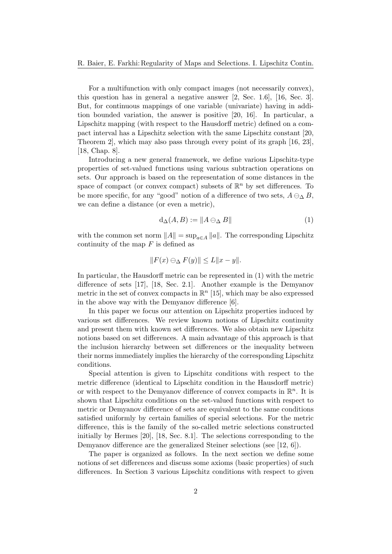For a multifunction with only compact images (not necessarily convex), this question has in general a negative answer [2, Sec. 1.6], [16, Sec. 3]. But, for continuous mappings of one variable (univariate) having in addition bounded variation, the answer is positive [20, 16]. In particular, a Lipschitz mapping (with respect to the Hausdorff metric) defined on a compact interval has a Lipschitz selection with the same Lipschitz constant [20, Theorem 2], which may also pass through every point of its graph [16, 23], [18, Chap. 8].

Introducing a new general framework, we define various Lipschitz-type properties of set-valued functions using various subtraction operations on sets. Our approach is based on the representation of some distances in the space of compact (or convex compact) subsets of  $\mathbb{R}^n$  by set differences. To be more specific, for any "good" notion of a difference of two sets,  $A \ominus_{\Delta} B$ , we can define a distance (or even a metric),

$$
d_{\Delta}(A, B) := \|A \ominus_{\Delta} B\| \tag{1}
$$

with the common set norm  $||A|| = \sup_{a \in A} ||a||$ . The corresponding Lipschitz continuity of the map  $F$  is defined as

$$
||F(x) \ominus_{\Delta} F(y)|| \le L||x - y||.
$$

In particular, the Hausdorff metric can be represented in (1) with the metric difference of sets [17], [18, Sec. 2.1]. Another example is the Demyanov metric in the set of convex compacts in  $\mathbb{R}^n$  [15], which may be also expressed in the above way with the Demyanov difference [6].

In this paper we focus our attention on Lipschitz properties induced by various set differences. We review known notions of Lipschitz continuity and present them with known set differences. We also obtain new Lipschitz notions based on set differences. A main advantage of this approach is that the inclusion hierarchy between set differences or the inequality between their norms immediately implies the hierarchy of the corresponding Lipschitz conditions.

Special attention is given to Lipschitz conditions with respect to the metric difference (identical to Lipschitz condition in the Hausdorff metric) or with respect to the Demyanov difference of convex compacts in  $\mathbb{R}^n$ . It is shown that Lipschitz conditions on the set-valued functions with respect to metric or Demyanov difference of sets are equivalent to the same conditions satisfied uniformly by certain families of special selections. For the metric difference, this is the family of the so-called metric selections constructed initially by Hermes [20], [18, Sec. 8.1]. The selections corresponding to the Demyanov difference are the generalized Steiner selections (see [12, 6]).

The paper is organized as follows. In the next section we define some notions of set differences and discuss some axioms (basic properties) of such differences. In Section 3 various Lipschitz conditions with respect to given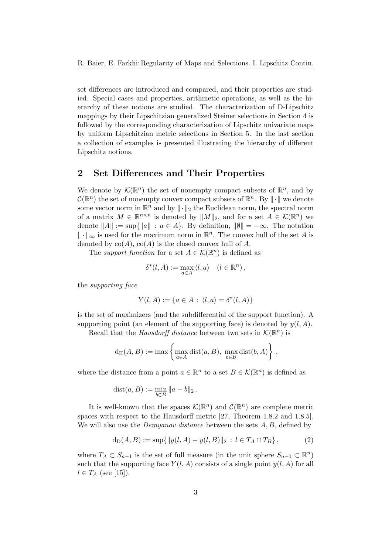set differences are introduced and compared, and their properties are studied. Special cases and properties, arithmetic operations, as well as the hierarchy of these notions are studied. The characterization of D-Lipschitz mappings by their Lipschitzian generalized Steiner selections in Section 4 is followed by the corresponding characterization of Lipschitz univariate maps by uniform Lipschitzian metric selections in Section 5. In the last section a collection of examples is presented illustrating the hierarchy of different Lipschitz notions.

## 2 Set Differences and Their Properties

We denote by  $\mathcal{K}(\mathbb{R}^n)$  the set of nonempty compact subsets of  $\mathbb{R}^n$ , and by  $C(\mathbb{R}^n)$  the set of nonempty convex compact subsets of  $\mathbb{R}^n$ . By  $\|\cdot\|$  we denote some vector norm in  $\mathbb{R}^n$  and by  $\|\cdot\|_2$  the Euclidean norm, the spectral norm of a matrix  $M \in \mathbb{R}^{n \times n}$  is denoted by  $||M||_2$ , and for a set  $A \in \mathcal{K}(\mathbb{R}^n)$  we denote  $||A|| := \sup{||a|| : a \in A}$ . By definition,  $||\emptyset|| = -\infty$ . The notation  $\|\cdot\|_{\infty}$  is used for the maximum norm in  $\mathbb{R}^n$ . The convex hull of the set A is denoted by  $co(A)$ ,  $\overline{co}(A)$  is the closed convex hull of A.

The support function for a set  $A \in \mathcal{K}(\mathbb{R}^n)$  is defined as

$$
\delta^*(l, A) := \max_{a \in A} \langle l, a \rangle \quad (l \in \mathbb{R}^n),
$$

the supporting face

$$
Y(l, A) := \{ a \in A : \langle l, a \rangle = \delta^*(l, A) \}
$$

is the set of maximizers (and the subdifferential of the support function). A supporting point (an element of the supporting face) is denoted by  $y(l, A)$ .

Recall that the *Hausdorff distance* between two sets in  $\mathcal{K}(\mathbb{R}^n)$  is

$$
d_H(A, B) := \max \left\{ \max_{a \in A} \text{dist}(a, B), \, \max_{b \in B} \text{dist}(b, A) \right\},
$$

where the distance from a point  $a \in \mathbb{R}^n$  to a set  $B \in \mathcal{K}(\mathbb{R}^n)$  is defined as

$$
dist(a, B) := \min_{b \in B} ||a - b||_2.
$$

It is well-known that the spaces  $\mathcal{K}(\mathbb{R}^n)$  and  $\mathcal{C}(\mathbb{R}^n)$  are complete metric spaces with respect to the Hausdorff metric [27, Theorem 1.8.2 and 1.8.5]. We will also use the *Demyanov distance* between the sets  $A, B$ , defined by

$$
d_D(A, B) := \sup\{\|y(l, A) - y(l, B)\|_2 : l \in T_A \cap T_B\},\tag{2}
$$

where  $T_A \subset S_{n-1}$  is the set of full measure (in the unit sphere  $S_{n-1} \subset \mathbb{R}^n$ ) such that the supporting face  $Y(l, A)$  consists of a single point  $y(l, A)$  for all  $l \in T_A$  (see [15]).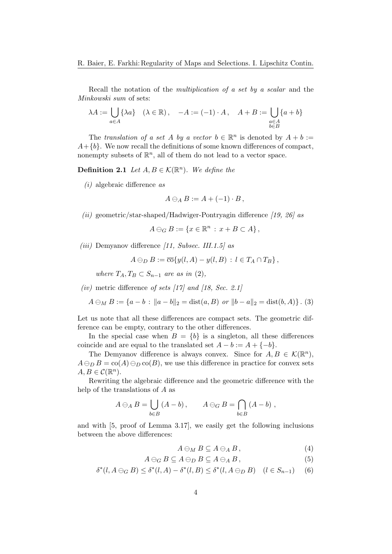Recall the notation of the multiplication of a set by a scalar and the Minkowski sum of sets:

$$
\lambda A := \bigcup_{a \in A} \{ \lambda a \} \quad (\lambda \in \mathbb{R}), \quad -A := (-1) \cdot A, \quad A + B := \bigcup_{\substack{a \in A \\ b \in B}} \{ a + b \}
$$

The translation of a set A by a vector  $b \in \mathbb{R}^n$  is denoted by  $A + b :=$  $A+\{b\}$ . We now recall the definitions of some known differences of compact, nonempty subsets of  $\mathbb{R}^n$ , all of them do not lead to a vector space.

**Definition 2.1** Let  $A, B \in \mathcal{K}(\mathbb{R}^n)$ . We define the

 $(i)$  algebraic difference as

$$
A\ominus_A B:=A+(-1)\cdot B,
$$

(ii) geometric/star-shaped/Hadwiger-Pontryagin difference [19, 26] as

$$
A\ominus_G B := \{x \in \mathbb{R}^n : x + B \subset A\},\
$$

(iii) Demyanov difference  $(11, Subsec. III.1.5)$  as

$$
A \ominus_D B := \overline{\mathrm{co}}\{y(l, A) - y(l, B) : l \in T_A \cap T_B\},\
$$

where  $T_A, T_B \subset S_{n-1}$  are as in (2),

(iv) metric difference of sets  $[17]$  and  $[18, Sec. 2.1]$ 

$$
A \ominus_M B := \{a - b : ||a - b||_2 = \text{dist}(a, B) \text{ or } ||b - a||_2 = \text{dist}(b, A)\}.
$$
 (3)

Let us note that all these differences are compact sets. The geometric difference can be empty, contrary to the other differences.

In the special case when  $B = \{b\}$  is a singleton, all these differences coincide and are equal to the translated set  $A - b := A + \{-b\}.$ 

The Demyanov difference is always convex. Since for  $A, B \in \mathcal{K}(\mathbb{R}^n)$ ,  $A \ominus_D B = \text{co}(A) \ominus_D \text{co}(B)$ , we use this difference in practice for convex sets  $A, B \in \mathcal{C}(\mathbb{R}^n)$ .

Rewriting the algebraic difference and the geometric difference with the help of the translations of A as

$$
A \ominus_A B = \bigcup_{b \in B} (A - b), \qquad A \ominus_G B = \bigcap_{b \in B} (A - b),
$$

and with [5, proof of Lemma 3.17], we easily get the following inclusions between the above differences:

$$
A\ominus_M B\subseteq A\ominus_A B\,,\tag{4}
$$

$$
A \ominus_G B \subseteq A \ominus_D B \subseteq A \ominus_A B, \tag{5}
$$

$$
\delta^*(l, A \ominus_G B) \le \delta^*(l, A) - \delta^*(l, B) \le \delta^*(l, A \ominus_D B) \quad (l \in S_{n-1}) \tag{6}
$$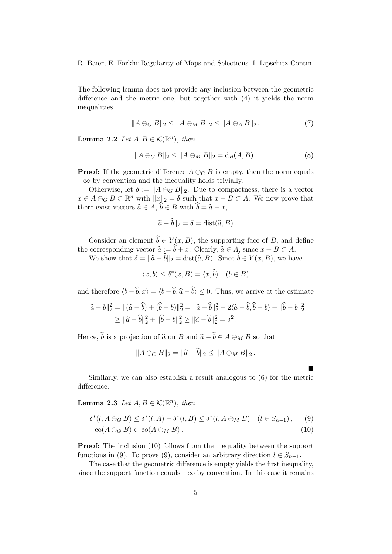The following lemma does not provide any inclusion between the geometric difference and the metric one, but together with (4) it yields the norm inequalities

$$
||A \ominus_G B||_2 \le ||A \ominus_M B||_2 \le ||A \ominus_A B||_2. \tag{7}
$$

**Lemma 2.2** Let  $A, B \in \mathcal{K}(\mathbb{R}^n)$ , then

$$
||A \ominus_G B||_2 \le ||A \ominus_M B||_2 = d_H(A, B).
$$
 (8)

**Proof:** If the geometric difference  $A \ominus_G B$  is empty, then the norm equals  $-\infty$  by convention and the inequality holds trivially.

Otherwise, let  $\delta := ||A \ominus_G B||_2$ . Due to compactness, there is a vector  $x \in A \ominus_G B \subset \mathbb{R}^n$  with  $||x||_2 = \delta$  such that  $x + B \subset A$ . We now prove that there exist vectors  $\widehat{a} \in A$ ,  $\widehat{b} \in B$  with  $\widehat{b} = \widehat{a} - x$ ,

$$
\|\widehat{a} - \widehat{b}\|_2 = \delta = \text{dist}(\widehat{a}, B).
$$

Consider an element  $\hat{b} \in Y(x, B)$ , the supporting face of B, and define the corresponding vector  $\hat{a} := \hat{b} + x$ . Clearly,  $\hat{a} \in A$ , since  $x + B \subset A$ .

We show that  $\delta = ||\hat{a} - \hat{b}||_2 = \text{dist}(\hat{a}, B)$ . Since  $\hat{b} \in Y(x, B)$ , we have

 $\langle x, b \rangle \leq \delta^*(x, B) = \langle x, \hat{b} \rangle \quad (b \in B)$ 

and therefore  $\langle b - \hat{b}, x \rangle = \langle b - \hat{b}, \hat{a} - \hat{b} \rangle \leq 0$ . Thus, we arrive at the estimate

$$
\|\hat{a} - b\|_2^2 = \|(\hat{a} - \hat{b}) + (\hat{b} - b)\|_2^2 = \|\hat{a} - \hat{b}\|_2^2 + 2\langle \hat{a} - \hat{b}, \hat{b} - b \rangle + \|\hat{b} - b\|_2^2
$$
  
\n
$$
\geq \|\hat{a} - \hat{b}\|_2^2 + \|\hat{b} - b\|_2^2 \geq \|\hat{a} - \hat{b}\|_2^2 = \delta^2.
$$

Hence,  $\hat{b}$  is a projection of  $\hat{a}$  on B and  $\hat{a} - \hat{b} \in A \ominus_M B$  so that

 $||A \ominus_G B||_2 = ||\widehat{a} - \widehat{b}||_2 \le ||A \ominus_M B||_2$ .

 $\blacksquare$ 

Similarly, we can also establish a result analogous to (6) for the metric difference.

**Lemma 2.3** Let  $A, B \in \mathcal{K}(\mathbb{R}^n)$ , then

$$
\delta^*(l, A \ominus_G B) \le \delta^*(l, A) - \delta^*(l, B) \le \delta^*(l, A \ominus_M B) \quad (l \in S_{n-1}), \quad (9)
$$
  
co $(A \ominus_G B) \subset \text{co}(A \ominus_M B).$  (10)

**Proof:** The inclusion (10) follows from the inequality between the support functions in (9). To prove (9), consider an arbitrary direction  $l \in S_{n-1}$ .

The case that the geometric difference is empty yields the first inequality, since the support function equals  $-\infty$  by convention. In this case it remains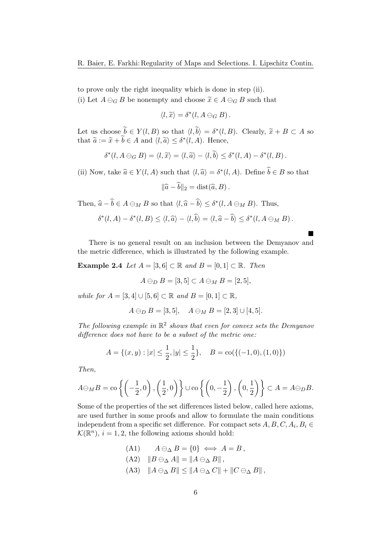to prove only the right inequality which is done in step (ii).

(i) Let  $A \ominus_G B$  be nonempty and choose  $\tilde{x} \in A \ominus_G B$  such that

$$
\langle l,\widetilde{x}\rangle=\delta^*(l,A\ominus_G B).
$$

Let us choose  $\tilde{b} \in Y(l, B)$  so that  $\langle l, \tilde{b} \rangle = \delta^*(l, B)$ . Clearly,  $\tilde{x} + B \subset A$  so that  $\tilde{z} := \tilde{z} + \tilde{b} \subset A$  and  $\langle l, \tilde{z} \rangle \subset \delta^*(l, A)$ . Hence that  $\tilde{a} := \tilde{x} + \tilde{b} \in A$  and  $\langle l, \tilde{a} \rangle \leq \delta^*(l, A)$ . Hence,

$$
\delta^*(l, A \ominus_G B) = \langle l, \widetilde{x} \rangle = \langle l, \widetilde{a} \rangle - \langle l, \widetilde{b} \rangle \leq \delta^*(l, A) - \delta^*(l, B).
$$

(ii) Now, take  $\hat{a} \in Y(l, A)$  such that  $\langle l, \hat{a} \rangle = \delta^*(l, A)$ . Define  $\hat{b} \in B$  so that

$$
\|\widehat{a}-\widehat{b}\|_2 = \text{dist}(\widehat{a},B).
$$

Then,  $\widehat{a} - \widehat{b} \in A \ominus_M B$  so that  $\langle l, \widehat{a} - \widehat{b} \rangle \leq \delta^*(l, A \ominus_M B)$ . Thus,

$$
\delta^*(l, A) - \delta^*(l, B) \le \langle l, \widehat{a} \rangle - \langle l, \widehat{b} \rangle = \langle l, \widehat{a} - \widehat{b} \rangle \le \delta^*(l, A \ominus_M B).
$$

 $\blacksquare$ 

There is no general result on an inclusion between the Demyanov and the metric difference, which is illustrated by the following example.

Example 2.4 Let  $A = [3, 6] \subset \mathbb{R}$  and  $B = [0, 1] \subset \mathbb{R}$ . Then

$$
A\ominus_D B=[3,5]\subset A\ominus_M B=[2,5],
$$

while for  $A = \{3, 4\} \cup \{5, 6\} \subset \mathbb{R}$  and  $B = \{0, 1\} \subset \mathbb{R}$ ,

$$
A \ominus_D B = [3, 5], \quad A \ominus_M B = [2, 3] \cup [4, 5].
$$

The following example in  $\mathbb{R}^2$  shows that even for convex sets the Demyanov difference does not have to be a subset of the metric one:

$$
A = \{(x, y) : |x| \le \frac{1}{2}, |y| \le \frac{1}{2}\}, \quad B = \text{co}(\{(-1, 0), (1, 0)\})
$$

Then,

$$
A\ominus_M B = \operatorname{co}\left\{ \left( -\frac{1}{2}, 0 \right), \left( \frac{1}{2}, 0 \right) \right\} \cup \operatorname{co}\left\{ \left( 0, -\frac{1}{2} \right), \left( 0, \frac{1}{2} \right) \right\} \subset A = A\ominus_D B.
$$

Some of the properties of the set differences listed below, called here axioms, are used further in some proofs and allow to formulate the main conditions independent from a specific set difference. For compact sets  $A, B, C, A_i, B_i \in$  $\mathcal{K}(\mathbb{R}^n)$ ,  $i = 1, 2$ , the following axioms should hold:

(A1)  $A \ominus_{\Delta} B = \{0\} \iff A = B$ ,

(A2) 
$$
||B \ominus_{\Delta} A|| = ||A \ominus_{\Delta} B||,
$$

(A3)  $||A \ominus_{\Delta} B|| \le ||A \ominus_{\Delta} C|| + ||C \ominus_{\Delta} B||$ ,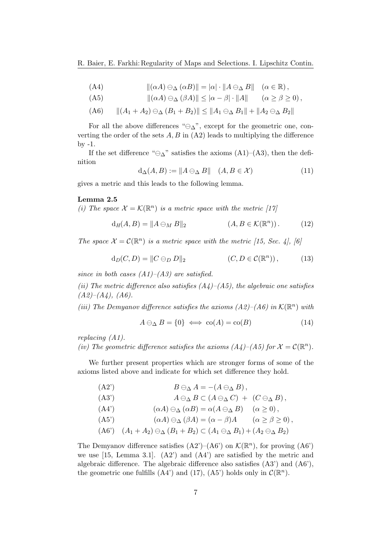(A4) 
$$
\|(\alpha A) \ominus_{\Delta} (\alpha B)\| = |\alpha| \cdot \|A \ominus_{\Delta} B\| \quad (\alpha \in \mathbb{R}),
$$

$$
(A5) \t ||(\alpha A) \ominus_{\Delta} (\beta A)|| \leq |\alpha - \beta| \cdot ||A|| \t (\alpha \geq \beta \geq 0),
$$

$$
(A6) \qquad ||(A_1 + A_2) \ominus_{\Delta} (B_1 + B_2)|| \le ||A_1 \ominus_{\Delta} B_1|| + ||A_2 \ominus_{\Delta} B_2||
$$

For all the above differences " $\ominus_{\Delta}$ ", except for the geometric one, converting the order of the sets  $A, B$  in  $(A2)$  leads to multiplying the difference  $by -1.$ 

If the set difference " $\ominus_{\Delta}$ " satisfies the axioms (A1)–(A3), then the definition

$$
d_{\Delta}(A, B) := \|A \ominus_{\Delta} B\| \quad (A, B \in \mathcal{X}) \tag{11}
$$

gives a metric and this leads to the following lemma.

#### Lemma 2.5

(i) The space  $\mathcal{X} = \mathcal{K}(\mathbb{R}^n)$  is a metric space with the metric [17]

$$
d_H(A, B) = \|A \ominus_M B\|_2 \qquad (A, B \in \mathcal{K}(\mathbb{R}^n)). \qquad (12)
$$

The space  $\mathcal{X} = \mathcal{C}(\mathbb{R}^n)$  is a metric space with the metric [15, Sec. 4], [6]

$$
d_D(C, D) = ||C \ominus_D D||_2 \qquad (C, D \in \mathcal{C}(\mathbb{R}^n)), \qquad (13)
$$

since in both cases  $(A1)$ – $(A3)$  are satisfied.

(ii) The metric difference also satisfies  $(A_4)$ – $(A_5)$ , the algebraic one satisfies  $(A2)$ – $(A4)$ ,  $(A6)$ .

(iii) The Demyanov difference satisfies the axioms  $(A2)$ – $(A6)$  in  $\mathcal{K}(\mathbb{R}^n)$  with

$$
A \ominus_{\Delta} B = \{0\} \iff \text{co}(A) = \text{co}(B) \tag{14}
$$

replacing (A1).

(iv) The geometric difference satisfies the axioms  $(A_4)$ - $(A_5)$  for  $\mathcal{X} = \mathcal{C}(\mathbb{R}^n)$ .

We further present properties which are stronger forms of some of the axioms listed above and indicate for which set difference they hold.

| $(A2^{\prime})$ | $B\ominus_{\Delta} A = -(A\ominus_{\Delta} B),$                                                                    |                     |
|-----------------|--------------------------------------------------------------------------------------------------------------------|---------------------|
| (A3')           | $A \ominus_{\Delta} B \subset (A \ominus_{\Delta} C) + (C \ominus_{\Delta} B),$                                    |                     |
| (A4')           | $(\alpha A) \ominus_{\Delta} (\alpha B) = \alpha (A \ominus_{\Delta} B)$                                           | $(\alpha \geq 0)$ , |
| $(A5^{\prime})$ | $(\alpha A) \ominus_{\Delta} (\beta A) = (\alpha - \beta)A \qquad (\alpha \geq \beta \geq 0),$                     |                     |
|                 | $(A6')$ $(A_1 + A_2) \ominus_{\Delta} (B_1 + B_2) \subset (A_1 \ominus_{\Delta} B_1) + (A_2 \ominus_{\Delta} B_2)$ |                     |

The Demyanov difference satisfies  $(A2')-(A6')$  on  $\mathcal{K}(\mathbb{R}^n)$ , for proving  $(A6')$ we use  $[15, \text{ Lemma } 3.1].$   $(A2')$  and  $(A4')$  are satisfied by the metric and algebraic difference. The algebraic difference also satisfies (A3') and (A6'), the geometric one fulfills (A4') and (17), (A5') holds only in  $\mathcal{C}(\mathbb{R}^n)$ .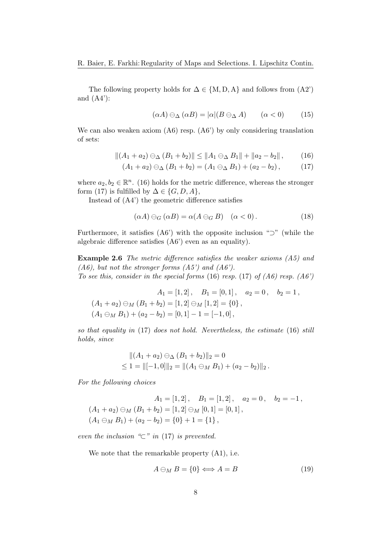The following property holds for  $\Delta \in \{M, D, A\}$  and follows from  $(A2)$ and  $(A4')$ :

$$
(\alpha A) \ominus_{\Delta} (\alpha B) = |\alpha| (B \ominus_{\Delta} A) \qquad (\alpha < 0) \tag{15}
$$

We can also weaken axiom (A6) resp. (A6') by only considering translation of sets:

$$
||(A_1 + a_2) \ominus_{\Delta} (B_1 + b_2)|| \le ||A_1 \ominus_{\Delta} B_1|| + ||a_2 - b_2||,
$$
 (16)

$$
(A_1 + a_2) \ominus_{\Delta} (B_1 + b_2) = (A_1 \ominus_{\Delta} B_1) + (a_2 - b_2), \tag{17}
$$

where  $a_2, b_2 \in \mathbb{R}^n$ . (16) holds for the metric difference, whereas the stronger form (17) is fulfilled by  $\Delta \in \{G, D, A\},\$ 

Instead of (A4') the geometric difference satisfies

$$
(\alpha A) \ominus_G (\alpha B) = \alpha (A \ominus_G B) \quad (\alpha < 0). \tag{18}
$$

Furthermore, it satisfies  $(AG')$  with the opposite inclusion " $\supset$ " (while the algebraic difference satisfies (A6') even as an equality).

Example 2.6 The metric difference satisfies the weaker axioms (A5) and  $(A6)$ , but not the stronger forms  $(A5')$  and  $(A6')$ . To see this, consider in the special forms  $(16)$  resp.  $(17)$  of  $(46)$  resp.  $(46')$ 

$$
A_1 = [1, 2], \quad B_1 = [0, 1], \quad a_2 = 0, \quad b_2 = 1,
$$
  
\n
$$
(A_1 + a_2) \ominus_M (B_1 + b_2) = [1, 2] \ominus_M [1, 2] = \{0\},
$$
  
\n
$$
(A_1 \ominus_M B_1) + (a_2 - b_2) = [0, 1] - 1 = [-1, 0],
$$

so that equality in (17) does not hold. Nevertheless, the estimate (16) still holds, since

$$
||(A_1 + a_2) \ominus_{\Delta} (B_1 + b_2)||_2 = 0
$$
  
\n
$$
\leq 1 = ||[-1,0]||_2 = ||(A_1 \ominus_M B_1) + (a_2 - b_2)||_2.
$$

For the following choices

$$
A_1 = [1, 2], \quad B_1 = [1, 2], \quad a_2 = 0, \quad b_2 = -1,
$$
  
\n
$$
(A_1 + a_2) \ominus_M (B_1 + b_2) = [1, 2] \ominus_M [0, 1] = [0, 1],
$$
  
\n
$$
(A_1 \ominus_M B_1) + (a_2 - b_2) = \{0\} + 1 = \{1\},
$$

even the inclusion " $\subset$ " in (17) is prevented.

We note that the remarkable property (A1), i.e.

$$
A \ominus_M B = \{0\} \Longleftrightarrow A = B \tag{19}
$$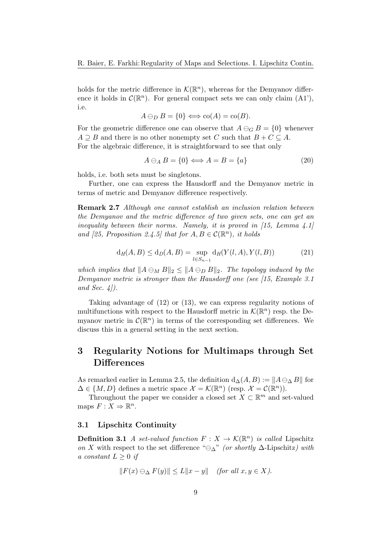holds for the metric difference in  $\mathcal{K}(\mathbb{R}^n)$ , whereas for the Demyanov difference it holds in  $\mathcal{C}(\mathbb{R}^n)$ . For general compact sets we can only claim (A1'), i.e.

$$
A \ominus_D B = \{0\} \Longleftrightarrow \text{co}(A) = \text{co}(B).
$$

For the geometric difference one can observe that  $A \ominus_G B = \{0\}$  whenever  $A \supseteq B$  and there is no other nonempty set C such that  $B + C \subseteq A$ . For the algebraic difference, it is straightforward to see that only

$$
A \ominus_A B = \{0\} \Longleftrightarrow A = B = \{a\} \tag{20}
$$

holds, i.e. both sets must be singletons.

Further, one can express the Hausdorff and the Demyanov metric in terms of metric and Demyanov difference respectively.

Remark 2.7 Although one cannot establish an inclusion relation between the Demyanov and the metric difference of two given sets, one can get an inequality between their norms. Namely, it is proved in  $(15, \text{ Lemma } 4.1)$ and [25, Proposition 2.4.5] that for  $A, B \in \mathcal{C}(\mathbb{R}^n)$ , it holds

$$
d_H(A, B) \le d_D(A, B) = \sup_{l \in S_{n-1}} d_H(Y(l, A), Y(l, B))
$$
\n(21)

which implies that  $||A \ominus_M B||_2 \le ||A \ominus_D B||_2$ . The topology induced by the Demyanov metric is stronger than the Hausdorff one (see [15, Example 3.1] and Sec.  $4$ .

Taking advantage of (12) or (13), we can express regularity notions of multifunctions with respect to the Hausdorff metric in  $\mathcal{K}(\mathbb{R}^n)$  resp. the Demyanov metric in  $\mathcal{C}(\mathbb{R}^n)$  in terms of the corresponding set differences. We discuss this in a general setting in the next section.

## 3 Regularity Notions for Multimaps through Set **Differences**

As remarked earlier in Lemma 2.5, the definition  $d_{\Delta}(A, B) := ||A \ominus_{\Delta} B||$  for  $\Delta \in \{M, D\}$  defines a metric space  $\mathcal{X} = \mathcal{K}(\mathbb{R}^n)$  (resp.  $\mathcal{X} = \mathcal{C}(\mathbb{R}^n)$ ).

Throughout the paper we consider a closed set  $X \subset \mathbb{R}^m$  and set-valued maps  $F: X \Rightarrow \mathbb{R}^n$ .

#### 3.1 Lipschitz Continuity

**Definition 3.1** A set-valued function  $F: X \to \mathcal{K}(\mathbb{R}^n)$  is called Lipschitz on X with respect to the set difference " $\ominus_{\Delta}$ " (or shortly  $\Delta$ -Lipschitz) with a constant  $L \geq 0$  if

$$
||F(x) \ominus_{\Delta} F(y)|| \le L||x - y|| \quad \text{(for all } x, y \in X).
$$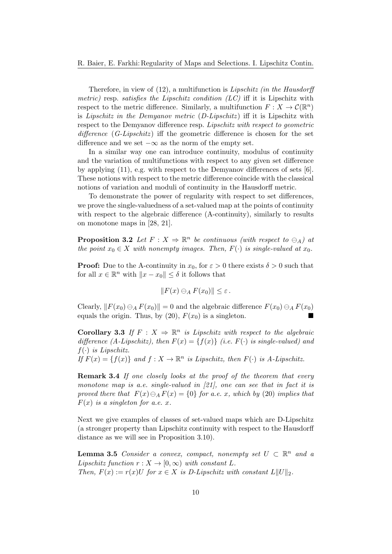Therefore, in view of (12), a multifunction is *Lipschitz (in the Hausdorff* metric) resp. satisfies the Lipschitz condition  $(LC)$  iff it is Lipschitz with respect to the metric difference. Similarly, a multifunction  $F: X \to \mathcal{C}(\mathbb{R}^n)$ is Lipschitz in the Demyanov metric  $(D\text{-Lipschitz})$  iff it is Lipschitz with respect to the Demyanov difference resp. Lipschitz with respect to geometric difference  $(G\text{-Lipschitz})$  iff the geometric difference is chosen for the set difference and we set  $-\infty$  as the norm of the empty set.

In a similar way one can introduce continuity, modulus of continuity and the variation of multifunctions with respect to any given set difference by applying  $(11)$ , e.g. with respect to the Demyanov differences of sets  $[6]$ . These notions with respect to the metric difference coincide with the classical notions of variation and moduli of continuity in the Hausdorff metric.

To demonstrate the power of regularity with respect to set differences, we prove the single-valuedness of a set-valued map at the points of continuity with respect to the algebraic difference (A-continuity), similarly to results on monotone maps in [28, 21].

**Proposition 3.2** Let  $F: X \Rightarrow \mathbb{R}^n$  be continuous (with respect to  $\ominus_A$ ) at the point  $x_0 \in X$  with nonempty images. Then,  $F(\cdot)$  is single-valued at  $x_0$ .

**Proof:** Due to the A-continuity in  $x_0$ , for  $\varepsilon > 0$  there exists  $\delta > 0$  such that for all  $x \in \mathbb{R}^n$  with  $||x - x_0|| \le \delta$  it follows that

$$
||F(x) \ominus_A F(x_0)|| \leq \varepsilon.
$$

Clearly,  $||F(x_0) \ominus_A F(x_0)|| = 0$  and the algebraic difference  $F(x_0) \ominus_A F(x_0)$ equals the origin. Thus, by (20),  $F(x_0)$  is a singleton.

**Corollary 3.3** If  $F: X \Rightarrow \mathbb{R}^n$  is Lipschitz with respect to the algebraic difference (A-Lipschitz), then  $F(x) = \{f(x)\}\$  (i.e.  $F(\cdot)$  is single-valued) and  $f(\cdot)$  is Lipschitz.

If  $F(x) = \{f(x)\}\$ and  $f: X \to \mathbb{R}^n$  is Lipschitz, then  $F(\cdot)$  is A-Lipschitz.

**Remark 3.4** If one closely looks at the proof of the theorem that every monotone map is a.e. single-valued in  $[21]$ , one can see that in fact it is proved there that  $F(x) \ominus_A F(x) = \{0\}$  for a.e. x, which by (20) implies that  $F(x)$  is a singleton for a.e. x.

Next we give examples of classes of set-valued maps which are D-Lipschitz (a stronger property than Lipschitz continuity with respect to the Hausdorff distance as we will see in Proposition 3.10).

**Lemma 3.5** Consider a convex, compact, nonempty set  $U \subset \mathbb{R}^n$  and a Lipschitz function  $r : X \to [0, \infty)$  with constant L. Then,  $F(x) := r(x)U$  for  $x \in X$  is D-Lipschitz with constant  $L||U||_2$ .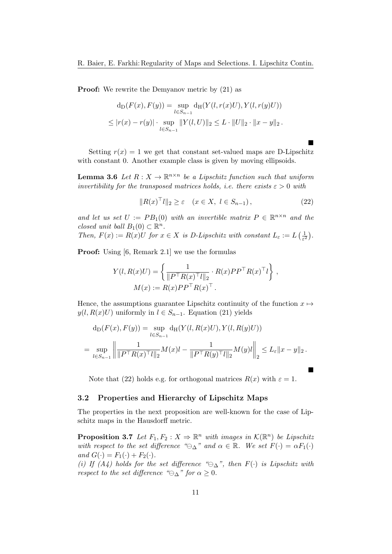**Proof:** We rewrite the Demyanov metric by  $(21)$  as

$$
d_D(F(x), F(y)) = \sup_{l \in S_{n-1}} d_H(Y(l, r(x)U), Y(l, r(y)U))
$$
  
 
$$
\leq |r(x) - r(y)| \cdot \sup_{l \in S_{n-1}} ||Y(l, U)||_2 \leq L \cdot ||U||_2 \cdot ||x - y||_2.
$$

Setting  $r(x) = 1$  we get that constant set-valued maps are D-Lipschitz with constant 0. Another example class is given by moving ellipsoids.

**Lemma 3.6** Let  $R: X \to \mathbb{R}^{n \times n}$  be a Lipschitz function such that uniform invertibility for the transposed matrices holds, i.e. there exists  $\varepsilon > 0$  with

$$
||R(x)^{\top}l||_2 \ge \varepsilon \quad (x \in X, \ l \in S_{n-1}), \tag{22}
$$

 $\blacksquare$ 

 $\blacksquare$ 

and let us set  $U := PB_1(0)$  with an invertible matrix  $P \in \mathbb{R}^{n \times n}$  and the closed unit ball  $B_1(0) \subset \mathbb{R}^n$ .

Then,  $F(x) := R(x)U$  for  $x \in X$  is D-Lipschitz with constant  $L_{\varepsilon} := L\left(\frac{1}{\varepsilon^2}\right)$  $\frac{1}{\varepsilon^2}\big).$ 

Proof: Using [6, Remark 2.1] we use the formulas

$$
Y(l, R(x)U) = \left\{ \frac{1}{\|P^{\top}R(x)^{\top}l\|_2} \cdot R(x)PP^{\top}R(x)^{\top}l \right\},
$$
  

$$
M(x) := R(x)PP^{\top}R(x)^{\top}.
$$

Hence, the assumptions guarantee Lipschitz continuity of the function  $x \mapsto$  $y(l, R(x)U)$  uniformly in  $l \in S_{n-1}$ . Equation (21) yields

$$
d_D(F(x), F(y)) = \sup_{l \in S_{n-1}} d_H(Y(l, R(x)U), Y(l, R(y)U))
$$
  
= 
$$
\sup_{l \in S_{n-1}} \left\| \frac{1}{\|P^\top R(x)^\top l\|_2} M(x)l - \frac{1}{\|P^\top R(y)^\top l\|_2} M(y)l \right\|_2 \le L_{\varepsilon} \|x - y\|_2.
$$

Note that (22) holds e.g. for orthogonal matrices  $R(x)$  with  $\varepsilon = 1$ .

#### 3.2 Properties and Hierarchy of Lipschitz Maps

The properties in the next proposition are well-known for the case of Lipschitz maps in the Hausdorff metric.

**Proposition 3.7** Let  $F_1, F_2: X \Rightarrow \mathbb{R}^n$  with images in  $\mathcal{K}(\mathbb{R}^n)$  be Lipschitz with respect to the set difference " $\ominus_{\Delta}$ " and  $\alpha \in \mathbb{R}$ . We set  $F(\cdot) = \alpha F_1(\cdot)$ and  $G(\cdot) = F_1(\cdot) + F_2(\cdot)$ .

(i) If (A4) holds for the set difference " $\ominus_{\Delta}$ ", then  $F(\cdot)$  is Lipschitz with respect to the set difference " $\ominus_{\Delta}$ " for  $\alpha \geq 0$ .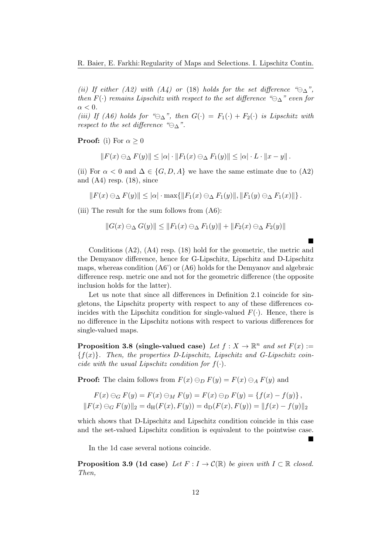(ii) If either (A2) with (A4) or (18) holds for the set difference " $\ominus_{\Delta}$ ", then  $F(\cdot)$  remains Lipschitz with respect to the set difference " $\ominus_{\Delta}$ " even for  $\alpha < 0$ .

(iii) If (A6) holds for " $\ominus_{\Delta}$ ", then  $G(\cdot) = F_1(\cdot) + F_2(\cdot)$  is Lipschitz with respect to the set difference " $\ominus_{\Delta}$ ".

**Proof:** (i) For  $\alpha > 0$ 

$$
||F(x) \ominus_{\Delta} F(y)|| \leq |\alpha| \cdot ||F_1(x) \ominus_{\Delta} F_1(y)|| \leq |\alpha| \cdot L \cdot ||x - y||.
$$

(ii) For  $\alpha < 0$  and  $\Delta \in \{G, D, A\}$  we have the same estimate due to (A2) and  $(A4)$  resp.  $(18)$ , since

$$
|| F(x) \ominus_{\Delta} F(y)|| \leq |\alpha| \cdot \max\{||F_1(x) \ominus_{\Delta} F_1(y)||, ||F_1(y) \ominus_{\Delta} F_1(x)||\}.
$$

(iii) The result for the sum follows from  $(A6)$ :

$$
||G(x) \ominus_{\Delta} G(y)|| \le ||F_1(x) \ominus_{\Delta} F_1(y)|| + ||F_2(x) \ominus_{\Delta} F_2(y)||
$$

 $\blacksquare$ 

 $\blacksquare$ 

Conditions (A2), (A4) resp. (18) hold for the geometric, the metric and the Demyanov difference, hence for G-Lipschitz, Lipschitz and D-Lipschitz maps, whereas condition  $(46')$  or  $(46)$  holds for the Demyanov and algebraic difference resp. metric one and not for the geometric difference (the opposite inclusion holds for the latter).

Let us note that since all differences in Definition 2.1 coincide for singletons, the Lipschitz property with respect to any of these differences coincides with the Lipschitz condition for single-valued  $F(\cdot)$ . Hence, there is no difference in the Lipschitz notions with respect to various differences for single-valued maps.

**Proposition 3.8 (single-valued case)** Let  $f: X \to \mathbb{R}^n$  and set  $F(x) :=$  ${f(x)}$ . Then, the properties D-Lipschitz, Lipschitz and G-Lipschitz coincide with the usual Lipschitz condition for  $f(\cdot)$ .

**Proof:** The claim follows from  $F(x) \ominus_D F(y) = F(x) \ominus_A F(y)$  and

$$
F(x) \ominus_G F(y) = F(x) \ominus_M F(y) = F(x) \ominus_D F(y) = \{f(x) - f(y)\},
$$
  

$$
||F(x) \ominus_G F(y)||_2 = d_H(F(x), F(y)) = d_D(F(x), F(y)) = ||f(x) - f(y)||_2
$$

which shows that D-Lipschitz and Lipschitz condition coincide in this case and the set-valued Lipschitz condition is equivalent to the pointwise case.

In the 1d case several notions coincide.

**Proposition 3.9 (1d case)** Let  $F: I \to \mathcal{C}(\mathbb{R})$  be given with  $I \subset \mathbb{R}$  closed. Then,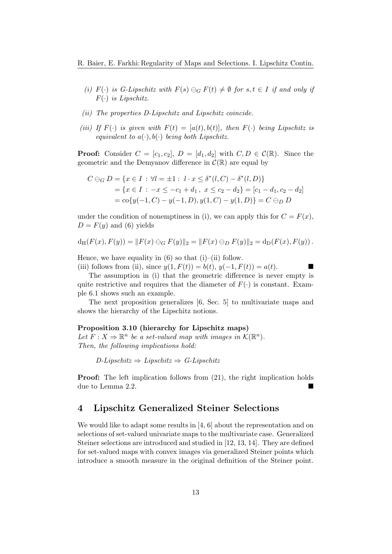- (i)  $F(\cdot)$  is G-Lipschitz with  $F(s) \ominus_G F(t) \neq \emptyset$  for  $s, t \in I$  if and only if  $F(\cdot)$  is Lipschitz.
- (ii) The properties D-Lipschitz and Lipschitz coincide.
- (iii) If  $F(\cdot)$  is given with  $F(t) = [a(t), b(t)]$ , then  $F(\cdot)$  being Lipschitz is equivalent to  $a(\cdot), b(\cdot)$  being both Lipschitz.

**Proof:** Consider  $C = [c_1, c_2], D = [d_1, d_2]$  with  $C, D \in \mathcal{C}(\mathbb{R})$ . Since the geometric and the Demyanov difference in  $\mathcal{C}(\mathbb{R})$  are equal by

$$
C \ominus_G D = \{x \in I : \forall l = \pm 1 : l \cdot x \le \delta^*(l, C) - \delta^*(l, D)\}
$$
  
=  $\{x \in I : -x \le -c_1 + d_1, x \le c_2 - d_2\} = [c_1 - d_1, c_2 - d_2]$   
=  $\text{co}\{y(-1, C) - y(-1, D), y(1, C) - y(1, D)\} = C \ominus_D D$ 

under the condition of nonemptiness in (i), we can apply this for  $C = F(x)$ ,  $D = F(y)$  and (6) yields

$$
d_H(F(x), F(y)) = ||F(x) \ominus_G F(y)||_2 = ||F(x) \ominus_D F(y)||_2 = d_D(F(x), F(y)).
$$

Hence, we have equality in  $(6)$  so that  $(i)$ – $(ii)$  follow.

(iii) follows from (ii), since  $y(1, F(t)) = b(t), y(-1, F(t)) = a(t)$ .

The assumption in (i) that the geometric difference is never empty is quite restrictive and requires that the diameter of  $F(\cdot)$  is constant. Example 6.1 shows such an example.

The next proposition generalizes [6, Sec. 5] to multivariate maps and shows the hierarchy of the Lipschitz notions.

#### Proposition 3.10 (hierarchy for Lipschitz maps)

Let  $F: X \Rightarrow \mathbb{R}^n$  be a set-valued map with images in  $\mathcal{K}(\mathbb{R}^n)$ . Then, the following implications hold:

 $D\text{-}Lipschitz \Rightarrow Lipschitz \Rightarrow G\text{-}Lipschitz$ 

**Proof:** The left implication follows from  $(21)$ , the right implication holds due to Lemma 2.2.

## 4 Lipschitz Generalized Steiner Selections

We would like to adapt some results in  $[4, 6]$  about the representation and on selections of set-valued univariate maps to the multivariate case. Generalized Steiner selections are introduced and studied in [12, 13, 14]. They are defined for set-valued maps with convex images via generalized Steiner points which introduce a smooth measure in the original definition of the Steiner point.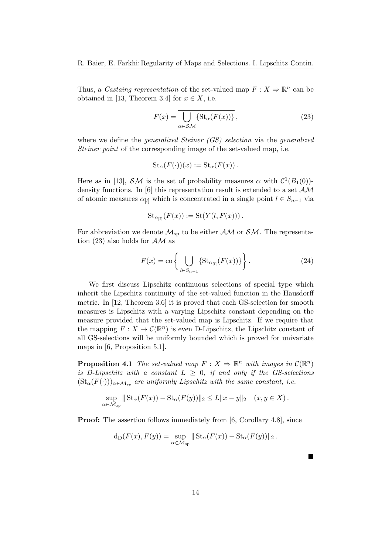Thus, a Castaing representation of the set-valued map  $F: X \to \mathbb{R}^n$  can be obtained in [13, Theorem 3.4] for  $x \in X$ , i.e.

$$
F(x) = \overline{\bigcup_{\alpha \in \mathcal{SM}} \{ \text{St}_{\alpha}(F(x)) \}},
$$
\n(23)

where we define the *generalized Steiner (GS) selection* via the *generalized* Steiner point of the corresponding image of the set-valued map, i.e.

$$
\operatorname{St}_{\alpha}(F(\cdot))(x) := \operatorname{St}_{\alpha}(F(x)).
$$

Here as in [13],  $\mathcal{SM}$  is the set of probability measures  $\alpha$  with  $\mathcal{C}^1(B_1(0))$ density functions. In [6] this representation result is extended to a set  $AM$ of atomic measures  $\alpha_{[l]}$  which is concentrated in a single point  $l \in S_{n-1}$  via

$$
\operatorname{St}_{\alpha_{[l]}}(F(x)) := \operatorname{St}(Y(l, F(x))).
$$

For abbreviation we denote  $\mathcal{M}_{\text{sp}}$  to be either  $\mathcal{AM}$  or  $\mathcal{SM}$ . The representation (23) also holds for  $AM$  as

$$
F(x) = \overline{\mathrm{co}} \left\{ \bigcup_{l \in S_{n-1}} \{ \mathrm{St}_{\alpha_{[l]}}(F(x)) \} \right\}.
$$
 (24)

We first discuss Lipschitz continuous selections of special type which inherit the Lipschitz continuity of the set-valued function in the Hausdorff metric. In [12, Theorem 3.6] it is proved that each GS-selection for smooth measures is Lipschitz with a varying Lipschitz constant depending on the measure provided that the set-valued map is Lipschitz. If we require that the mapping  $F: X \to \mathcal{C}(\mathbb{R}^n)$  is even D-Lipschitz, the Lipschitz constant of all GS-selections will be uniformly bounded which is proved for univariate maps in [6, Proposition 5.1].

**Proposition 4.1** The set-valued map  $F: X \Rightarrow \mathbb{R}^n$  with images in  $\mathcal{C}(\mathbb{R}^n)$ is D-Lipschitz with a constant  $L \geq 0$ , if and only if the GS-selections  $(\text{St}_{\alpha}(F(\cdot)))_{\alpha \in \mathcal{M}_{sp}}$  are uniformly Lipschitz with the same constant, i.e.

$$
\sup_{\alpha \in \mathcal{M}_{sp}} \| \operatorname{St}_{\alpha}(F(x)) - \operatorname{St}_{\alpha}(F(y)) \|_{2} \le L \|x - y\|_{2} \quad (x, y \in X).
$$

**Proof:** The assertion follows immediately from [6, Corollary 4.8], since

$$
d_D(F(x), F(y)) = \sup_{\alpha \in \mathcal{M}_{sp}} || St_{\alpha}(F(x)) - St_{\alpha}(F(y)) ||_2.
$$

П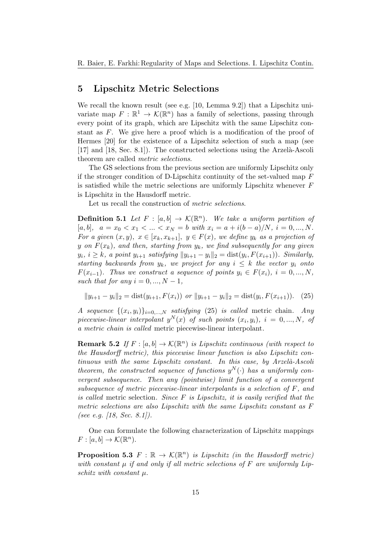### 5 Lipschitz Metric Selections

We recall the known result (see e.g. [10, Lemma 9.2]) that a Lipschitz univariate map  $F: \mathbb{R}^1 \to \mathcal{K}(\mathbb{R}^n)$  has a family of selections, passing through every point of its graph, which are Lipschitz with the same Lipschitz constant as F. We give here a proof which is a modification of the proof of Hermes [20] for the existence of a Lipschitz selection of such a map (see [17] and [18, Sec. 8.1]). The constructed selections using the Arzelà-Ascoli theorem are called metric selections.

The GS selections from the previous section are uniformly Lipschitz only if the stronger condition of D-Lipschitz continuity of the set-valued map  $F$ is satisfied while the metric selections are uniformly Lipschitz whenever F is Lipschitz in the Hausdorff metric.

Let us recall the construction of metric selections.

**Definition 5.1** Let  $F : [a, b] \to \mathcal{K}(\mathbb{R}^n)$ . We take a uniform partition of  $[a, b], a = x_0 < x_1 < \ldots < x_N = b$  with  $x_i = a + i(b - a)/N, i = 0, \ldots, N$ . For a given  $(x, y)$ ,  $x \in [x_k, x_{k+1}], y \in F(x)$ , we define  $y_k$  as a projection of y on  $F(x_k)$ , and then, starting from  $y_k$ , we find subsequently for any given  $y_i, i \geq k$ , a point  $y_{i+1}$  satisfying  $||y_{i+1} - y_i||_2 = \text{dist}(y_i, F(x_{i+1}))$ . Similarly, starting backwards from  $y_k$ , we project for any  $i \leq k$  the vector  $y_i$  onto  $F(x_{i-1})$ . Thus we construct a sequence of points  $y_i \in F(x_i)$ ,  $i = 0, ..., N$ , such that for any  $i = 0, ..., N - 1$ ,

$$
||y_{i+1} - y_i||_2 = \text{dist}(y_{i+1}, F(x_i)) \text{ or } ||y_{i+1} - y_i||_2 = \text{dist}(y_i, F(x_{i+1})). \tag{25}
$$

A sequence  $\{(x_i, y_i)\}_{i=0,\dots,N}$  satisfying (25) is called metric chain. Any piecewise-linear interpolant  $y^N(x)$  of such points  $(x_i, y_i)$ ,  $i = 0, ..., N$ , of a metric chain is called metric piecewise-linear interpolant.

**Remark 5.2** If  $F : [a, b] \to \mathcal{K}(\mathbb{R}^n)$  is Lipschitz continuous (with respect to the Hausdorff metric), this piecewise linear function is also Lipschitz continuous with the same Lipschitz constant. In this case, by  $Arzel\hat{a}-Ascoli$ theorem, the constructed sequence of functions  $y^N(\cdot)$  has a uniformly convergent subsequence. Then any (pointwise) limit function of a convergent subsequence of metric piecewise-linear interpolants is a selection of F, and is called metric selection. Since  $F$  is Lipschitz, it is easily verified that the metric selections are also Lipschitz with the same Lipschitz constant as F (see e.g. [18, Sec. 8.1]).

One can formulate the following characterization of Lipschitz mappings  $F : [a, b] \to \mathcal{K}(\mathbb{R}^n).$ 

**Proposition 5.3**  $F : \mathbb{R} \to \mathcal{K}(\mathbb{R}^n)$  is Lipschitz (in the Hausdorff metric) with constant  $\mu$  if and only if all metric selections of  $F$  are uniformly Lipschitz with constant  $\mu$ .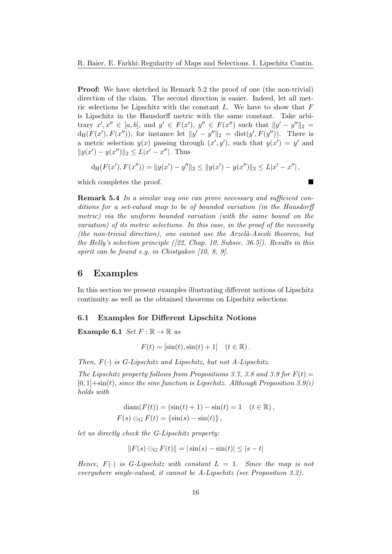Proof: We have sketched in Remark 5.2 the proof of one (the non-trivial) direction of the claim. The second direction is easier. Indeed, let all metric selections be Lipschitz with the constant  $L$ . We have to show that  $F$ is Lipschitz in the Hausdorff metric with the same constant. Take arbitrary  $x', x'' \in [a, b]$ , and  $y' \in F(x')$ ,  $y'' \in F(x'')$  such that  $||y' - y''||_2 =$  $d_H(F(x'), F(x''))$ , for instance let  $||y' - y''||_2 = dist(y', F(y''))$ . There is a metric selection  $y(x)$  passing through  $(x', y')$ , such that  $y(x') = y'$  and  $||y(x') - y(x'')||_2 \le L|x' - x''|$ . Thus

$$
d_H(F(x'), F(x'')) = ||y(x') - y''||_2 \le ||y(x') - y(x'')||_2 \le L|x' - x''|,
$$

which completes the proof.

Remark 5.4 In a similar way one can prove necessary and sufficient conditions for a set-valued map to be of bounded variation (in the Hausdorff metric) via the uniform bounded variation (with the same bound on the variation) of its metric selections. In this case, in the proof of the necessity  $(the\ non-trivial\ direction),\ one\ cannot\ use\ the\ Arzel\`a-Ascoli\ theorem, but$ the Helly's selection principle  $(22, Chap. 10, Subsec. 36.5)$ . Results in this spirit can be found e.g. in Chistyakov [10, 8, 9].

## 6 Examples

In this section we present examples illustrating different notions of Lipschitz continuity as well as the obtained theorems on Lipschitz selections.

#### 6.1 Examples for Different Lipschitz Notions

Example 6.1  $Set F : \mathbb{R} \to \mathbb{R}$  as

$$
F(t) = [\sin(t), \sin(t) + 1] \quad (t \in \mathbb{R}).
$$

Then,  $F(\cdot)$  is G-Lipschitz and Lipschitz, but not A-Lipschitz.

The Lipschitz property follows from Propositions 3.7, 3.8 and 3.9 for  $F(t)$  =  $[0,1] + \sin(t)$ , since the sine function is Lipschitz. Although Proposition 3.9(i) holds with

$$
diam(F(t)) = (sin(t) + 1) - sin(t) = 1 \quad (t \in \mathbb{R}),
$$
  
 
$$
F(s) \ominus_G F(t) = {sin(s) - sin(t)},
$$

let us directly check the G-Lipschitz property:

$$
||F(s) \ominus_G F(t)|| = |\sin(s) - \sin(t)| \le |s - t|
$$

Hence,  $F(\cdot)$  is G-Lipschitz with constant  $L = 1$ . Since the map is not everywhere single-valued, it cannot be A-Lipschitz (see Proposition 3.2).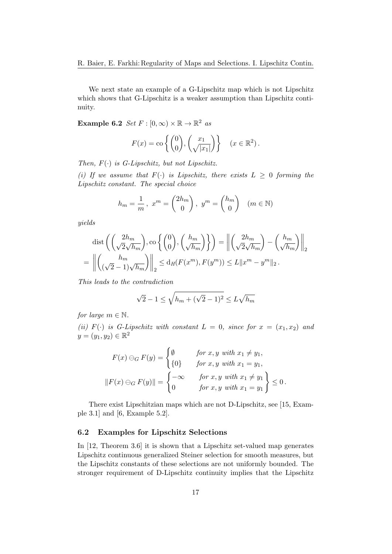We next state an example of a G-Lipschitz map which is not Lipschitz which shows that G-Lipschitz is a weaker assumption than Lipschitz continuity.

**Example 6.2** Set  $F : [0, \infty) \times \mathbb{R} \to \mathbb{R}^2$  as

$$
F(x) = \text{co}\left\{ \begin{pmatrix} 0 \\ 0 \end{pmatrix}, \begin{pmatrix} x_1 \\ \sqrt{|x_1|} \end{pmatrix} \right\} \quad (x \in \mathbb{R}^2).
$$

Then,  $F(\cdot)$  is G-Lipschitz, but not Lipschitz.

(i) If we assume that  $F(\cdot)$  is Lipschitz, there exists  $L \geq 0$  forming the Lipschitz constant. The special choice

$$
h_m = \frac{1}{m}, \ x^m = \begin{pmatrix} 2h_m \\ 0 \end{pmatrix}, \ y^m = \begin{pmatrix} h_m \\ 0 \end{pmatrix} \quad (m \in \mathbb{N})
$$

yields

$$
\operatorname{dist}\left(\left(\frac{2h_m}{\sqrt{2}\sqrt{h_m}}\right), \operatorname{co}\left\{\binom{0}{0}, \binom{h_m}{\sqrt{h_m}}\right\}\right) = \left\|\binom{2h_m}{\sqrt{2}\sqrt{h_m}} - \binom{h_m}{\sqrt{h_m}}\right\|_2
$$

$$
= \left\|\binom{h_m}{\left(\sqrt{2}-1\right)\sqrt{h_m}}\right\|_2 \leq \operatorname{d}_{H}(F(x^m), F(y^m)) \leq L\|x^m - y^m\|_2.
$$

This leads to the contradiction

$$
\sqrt{2} - 1 \le \sqrt{h_m + (\sqrt{2} - 1)^2} \le L\sqrt{h_m}
$$

for large  $m \in \mathbb{N}$ .

(ii)  $F(\cdot)$  is G-Lipschitz with constant  $L = 0$ , since for  $x = (x_1, x_2)$  and  $y = (y_1, y_2) \in \mathbb{R}^2$ 

$$
F(x) \ominus_G F(y) = \begin{cases} \emptyset & \text{for } x, y \text{ with } x_1 \neq y_1, \\ \{0\} & \text{for } x, y \text{ with } x_1 = y_1, \\ \text{for } x, y \text{ with } x_1 \neq y_1 \end{cases}
$$

$$
||F(x) \ominus_G F(y)|| = \begin{cases} -\infty & \text{for } x, y \text{ with } x_1 \neq y_1 \\ 0 & \text{for } x, y \text{ with } x_1 = y_1 \end{cases} \le 0.
$$

There exist Lipschitzian maps which are not D-Lipschitz, see [15, Example 3.1] and [6, Example 5.2].

#### 6.2 Examples for Lipschitz Selections

In [12, Theorem 3.6] it is shown that a Lipschitz set-valued map generates Lipschitz continuous generalized Steiner selection for smooth measures, but the Lipschitz constants of these selections are not uniformly bounded. The stronger requirement of D-Lipschitz continuity implies that the Lipschitz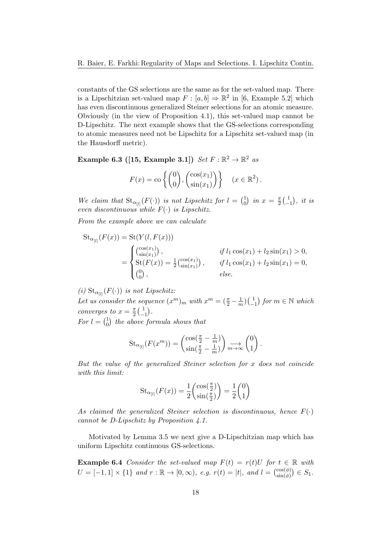constants of the GS selections are the same as for the set-valued map. There is a Lipschitzian set-valued map  $F : [a, b] \Rightarrow \mathbb{R}^2$  in [6, Example 5.2] which has even discontinuous generalized Steiner selections for an atomic measure. Obviously (in the view of Proposition 4.1), this set-valued map cannot be D-Lipschitz. The next example shows that the GS-selections corresponding to atomic measures need not be Lipschitz for a Lipschitz set-valued map (in the Hausdorff metric).

Example 6.3 ([15, Example 3.1])  $Set F : \mathbb{R}^2 \to \mathbb{R}^2$  as

$$
F(x) = \text{co}\left\{ \begin{pmatrix} 0 \\ 0 \end{pmatrix}, \begin{pmatrix} \cos(x_1) \\ \sin(x_1) \end{pmatrix} \right\} \quad (x \in \mathbb{R}^2).
$$

We claim that  $\text{St}_{\alpha_{[l]}}(F(\cdot))$  is not Lipschitz for  $l = \begin{pmatrix} 1 \\ 0 \end{pmatrix}$  $\binom{1}{0}$  in  $x = \frac{\pi}{2}$  $\frac{\pi}{2}$   $\left(\frac{1}{1}\right)$  $\begin{pmatrix} 1 \\ -1 \end{pmatrix}$ , it is even discontinuous while  $F(\cdot)$  is Lipschitz.

From the example above we can calculate

$$
\operatorname{St}_{\alpha_{[l]}}(F(x)) = \operatorname{St}(Y(l, F(x)))
$$
\n
$$
= \begin{cases}\n\binom{\cos(x_1)}{\sin(x_1)}, & \text{if } l_1 \cos(x_1) + l_2 \sin(x_1) > 0, \\
\operatorname{St}(F(x)) = \frac{1}{2} \binom{\cos(x_1)}{\sin(x_1)}, & \text{if } l_1 \cos(x_1) + l_2 \sin(x_1) = 0, \\
\binom{0}{0}, & \text{else.}\n\end{cases}
$$

(i)  $\text{St}_{\alpha_{[l]}}(F(\cdot))$  is not Lipschitz:

Let us consider the sequence  $(x^m)_m$  with  $x^m = (\frac{\pi}{2} - \frac{1}{n})$  $\frac{1}{m}$  $\Big)$  $\Big( \frac{1}{-}$  $\begin{pmatrix} 1 \\ -1 \end{pmatrix}$  for  $m \in \mathbb{N}$  which converges to  $x = \frac{\pi}{2}$  $\frac{\pi}{2}$   $\left(\frac{1}{2}\right)$  $\begin{pmatrix} 1 \\ -1 \end{pmatrix}$ .

For  $l = \begin{pmatrix} 1 \\ 0 \end{pmatrix}$  $_0^1$ ) the above formula shows that

$$
\operatorname{St}_{\alpha_{[l]}}(F(x^m)) = \begin{pmatrix} \cos(\frac{\pi}{2} - \frac{1}{m}) \\ \sin(\frac{\pi}{2} - \frac{1}{m}) \end{pmatrix} \underset{m \to \infty}{\longrightarrow} \begin{pmatrix} 0 \\ 1 \end{pmatrix}.
$$

But the value of the generalized Steiner selection for x does not coincide with this limit:

$$
\operatorname{St}_{\alpha_{[l]}}(F(x)) = \frac{1}{2} \begin{pmatrix} \cos(\frac{\pi}{2}) \\ \sin(\frac{\pi}{2}) \end{pmatrix} = \frac{1}{2} \begin{pmatrix} 0 \\ 1 \end{pmatrix}
$$

As claimed the generalized Steiner selection is discontinuous, hence  $F(\cdot)$ cannot be D-Lipschitz by Proposition 4.1.

Motivated by Lemma 3.5 we next give a D-Lipschitzian map which has uniform Lipschitz continuous GS-selections.

**Example 6.4** Consider the set-valued map  $F(t) = r(t)U$  for  $t \in \mathbb{R}$  with  $U = [-1,1] \times \{1\}$  and  $r : \mathbb{R} \to [0,\infty)$ , e.g.  $r(t) = |t|$ , and  $l = \binom{\cos(\phi)}{\sin(\phi)} \in S_1$ .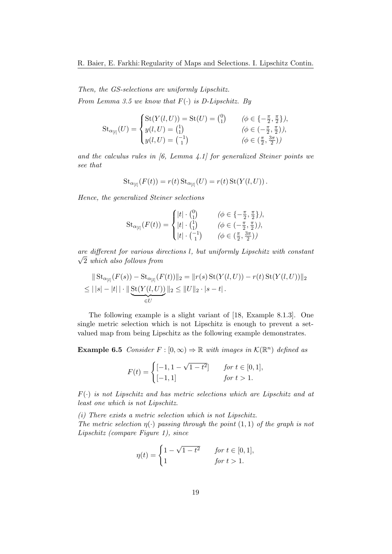Then, the GS-selections are uniformly Lipschitz. From Lemma 3.5 we know that  $F(\cdot)$  is D-Lipschitz. By

St<sub>α<sub>[l]</sub></sub>
$$
(U) = \begin{cases} \text{St}(Y(l, U)) = \text{St}(U) = {0 \choose 1} & (\phi \in \{-\frac{\pi}{2}, \frac{\pi}{2}\}), \\ y(l, U) = {1 \choose 1} & (\phi \in (-\frac{\pi}{2}, \frac{\pi}{2})) \\ y(l, U) = {1 \choose 1} & (\phi \in (\frac{\pi}{2}, \frac{3\pi}{2})) \end{cases}
$$

and the calculus rules in  $(6, \text{ Lemma } 4.1)$  for generalized Steiner points we see that

$$
\mathrm{St}_{\alpha_{[l]}}(F(t)) = r(t) \mathrm{St}_{\alpha_{[l]}}(U) = r(t) \mathrm{St}(Y(l, U)).
$$

Hence, the generalized Steiner selections

St<sub>α<sub>[l]</sub></sub>(F(t)) =   

$$
\begin{cases} |t| \cdot {0 \choose 1} & (\phi \in \{-\frac{\pi}{2}, \frac{\pi}{2}\}), \\ |t| \cdot {1 \choose 1} & (\phi \in (-\frac{\pi}{2}, \frac{\pi}{2})) , \\ |t| \cdot {1 \choose 1} & (\phi \in (\frac{\pi}{2}, \frac{3\pi}{2})) \end{cases}
$$

are different for various directions  $l$ , but uniformly Lipschitz with constant  $\sqrt{2}$  which also follows from

$$
\| \operatorname{St}_{\alpha_{[l]}}(F(s)) - \operatorname{St}_{\alpha_{[l]}}(F(t)) \|_{2} = \| r(s) \operatorname{St}(Y(l, U)) - r(t) \operatorname{St}(Y(l, U)) \|_{2}
$$
  
\n
$$
\leq ||s| - |t| \cdot \| \underbrace{\operatorname{St}(Y(l, U))}_{\in U} \|_{2} \leq \|U\|_{2} \cdot |s - t|.
$$

The following example is a slight variant of [18, Example 8.1.3]. One single metric selection which is not Lipschitz is enough to prevent a setvalued map from being Lipschitz as the following example demonstrates.

**Example 6.5** Consider  $F : [0, \infty) \Rightarrow \mathbb{R}$  with images in  $\mathcal{K}(\mathbb{R}^n)$  defined as

$$
F(t) = \begin{cases} [-1, 1 - \sqrt{1 - t^2}] & \text{for } t \in [0, 1], \\ [-1, 1] & \text{for } t > 1. \end{cases}
$$

 $F(\cdot)$  is not Lipschitz and has metric selections which are Lipschitz and at least one which is not Lipschitz.

(i) There exists a metric selection which is not Lipschitz. The metric selection  $\eta(\cdot)$  passing through the point  $(1,1)$  of the graph is not Lipschitz (compare Figure 1), since

$$
\eta(t) = \begin{cases} 1 - \sqrt{1 - t^2} & \text{for } t \in [0, 1], \\ 1 & \text{for } t > 1. \end{cases}
$$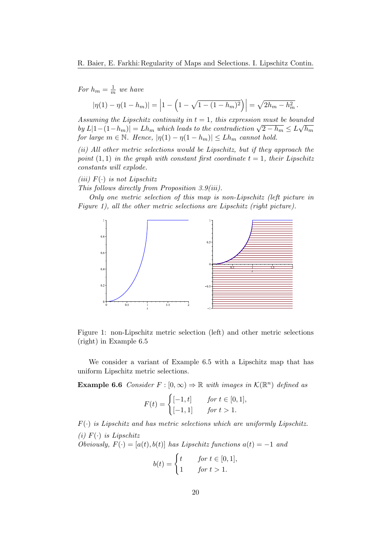For  $h_m = \frac{1}{m}$  $\frac{1}{m}$  we have  $|\eta(1) - \eta(1 - h_m)| =$  $1 - \left(1 - \sqrt{1 - (1 - h_m)^2}\right)\right| = \sqrt{2h_m - h_m^2}$ .

Assuming the Lipschitz continuity in  $t = 1$ , this expression must be bounded  $\int_0^{\infty} b y L |1-(1-h_m)| = L h_m$  which leads to the contradiction  $\sqrt{2-h_m} \leq L \sqrt{h_m}$ for large  $m \in \mathbb{N}$ . Hence,  $|\eta(1) - \eta(1 - h_m)| \leq L h_m$  cannot hold.

(ii) All other metric selections would be Lipschitz, but if they approach the point  $(1,1)$  in the graph with constant first coordinate  $t = 1$ , their Lipschitz constants will explode.

(iii)  $F(\cdot)$  is not Lipschitz

This follows directly from Proposition 3.9(iii).

Only one metric selection of this map is non-Lipschitz (left picture in Figure 1), all the other metric selections are Lipschitz (right picture).



Figure 1: non-Lipschitz metric selection (left) and other metric selections (right) in Example 6.5

We consider a variant of Example 6.5 with a Lipschitz map that has uniform Lipschitz metric selections.

**Example 6.6** Consider  $F : [0, \infty) \Rightarrow \mathbb{R}$  with images in  $\mathcal{K}(\mathbb{R}^n)$  defined as

$$
F(t) = \begin{cases} [-1, t] & \text{for } t \in [0, 1], \\ [-1, 1] & \text{for } t > 1. \end{cases}
$$

 $F(\cdot)$  is Lipschitz and has metric selections which are uniformly Lipschitz. (i)  $F(\cdot)$  is Lipschitz Obviously,  $F(\cdot) = [a(t), b(t)]$  has Lipschitz functions  $a(t) = -1$  and

$$
b(t) = \begin{cases} t & \text{for } t \in [0, 1], \\ 1 & \text{for } t > 1. \end{cases}
$$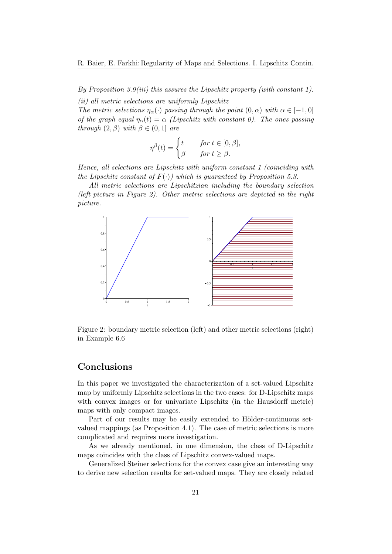By Proposition 3.9(iii) this assures the Lipschitz property (with constant 1).

(ii) all metric selections are uniformly Lipschitz The metric selections  $\eta_{\alpha}(\cdot)$  passing through the point  $(0, \alpha)$  with  $\alpha \in [-1, 0]$ of the graph equal  $\eta_{\alpha}(t) = \alpha$  (Lipschitz with constant 0). The ones passing through  $(2, \beta)$  with  $\beta \in (0, 1]$  are

$$
\eta^{\beta}(t) = \begin{cases} t & \text{for } t \in [0, \beta], \\ \beta & \text{for } t \ge \beta. \end{cases}
$$

Hence, all selections are Lipschitz with uniform constant 1 (coinciding with the Lipschitz constant of  $F(.)$  which is quaranteed by Proposition 5.3.

All metric selections are Lipschitzian including the boundary selection (left picture in Figure 2). Other metric selections are depicted in the right picture.



Figure 2: boundary metric selection (left) and other metric selections (right) in Example 6.6

## Conclusions

In this paper we investigated the characterization of a set-valued Lipschitz map by uniformly Lipschitz selections in the two cases: for D-Lipschitz maps with convex images or for univariate Lipschitz (in the Hausdorff metric) maps with only compact images.

Part of our results may be easily extended to Hölder-continuous setvalued mappings (as Proposition 4.1). The case of metric selections is more complicated and requires more investigation.

As we already mentioned, in one dimension, the class of D-Lipschitz maps coincides with the class of Lipschitz convex-valued maps.

Generalized Steiner selections for the convex case give an interesting way to derive new selection results for set-valued maps. They are closely related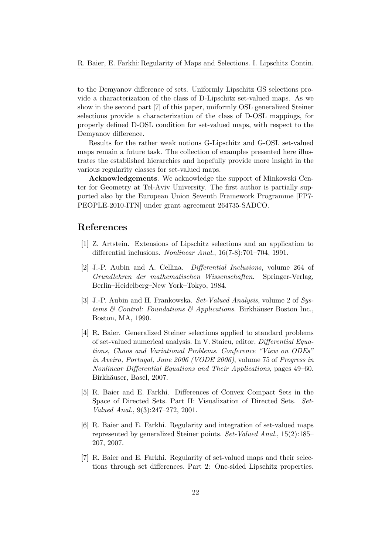to the Demyanov difference of sets. Uniformly Lipschitz GS selections provide a characterization of the class of D-Lipschitz set-valued maps. As we show in the second part [7] of this paper, uniformly OSL generalized Steiner selections provide a characterization of the class of D-OSL mappings, for properly defined D-OSL condition for set-valued maps, with respect to the Demyanov difference.

Results for the rather weak notions G-Lipschitz and G-OSL set-valued maps remain a future task. The collection of examples presented here illustrates the established hierarchies and hopefully provide more insight in the various regularity classes for set-valued maps.

Acknowledgements. We acknowledge the support of Minkowski Center for Geometry at Tel-Aviv University. The first author is partially supported also by the European Union Seventh Framework Programme [FP7- PEOPLE-2010-ITN] under grant agreement 264735-SADCO.

## References

- [1] Z. Artstein. Extensions of Lipschitz selections and an application to differential inclusions. Nonlinear Anal., 16(7-8):701–704, 1991.
- [2] J.-P. Aubin and A. Cellina. Differential Inclusions, volume 264 of Grundlehren der mathematischen Wissenschaften. Springer-Verlag, Berlin–Heidelberg–New York–Tokyo, 1984.
- [3] J.-P. Aubin and H. Frankowska. Set-Valued Analysis, volume 2 of Systems & Control: Foundations & Applications. Birkhäuser Boston Inc., Boston, MA, 1990.
- [4] R. Baier. Generalized Steiner selections applied to standard problems of set-valued numerical analysis. In V. Staicu, editor, Differential Equations, Chaos and Variational Problems. Conference "View on ODEs" in Aveiro, Portugal, June 2006 (VODE 2006), volume 75 of Progress in Nonlinear Differential Equations and Their Applications, pages 49–60. Birkhäuser, Basel, 2007.
- [5] R. Baier and E. Farkhi. Differences of Convex Compact Sets in the Space of Directed Sets. Part II: Visualization of Directed Sets. Set-Valued Anal., 9(3):247–272, 2001.
- [6] R. Baier and E. Farkhi. Regularity and integration of set-valued maps represented by generalized Steiner points. Set-Valued Anal., 15(2):185– 207, 2007.
- [7] R. Baier and E. Farkhi. Regularity of set-valued maps and their selections through set differences. Part 2: One-sided Lipschitz properties.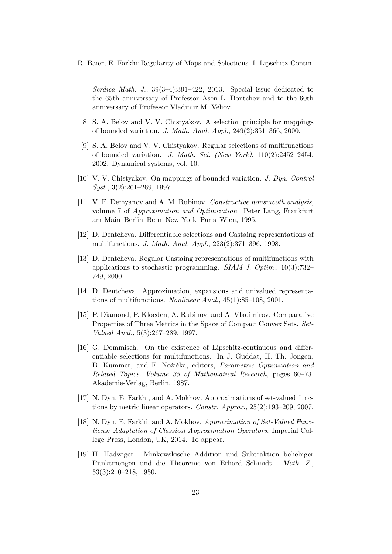Serdica Math. J., 39(3–4):391–422, 2013. Special issue dedicated to the 65th anniversary of Professor Asen L. Dontchev and to the 60th anniversary of Professor Vladimir M. Veliov.

- [8] S. A. Belov and V. V. Chistyakov. A selection principle for mappings of bounded variation. J. Math. Anal. Appl., 249(2):351–366, 2000.
- [9] S. A. Belov and V. V. Chistyakov. Regular selections of multifunctions of bounded variation. J. Math. Sci. (New York), 110(2):2452–2454, 2002. Dynamical systems, vol. 10.
- [10] V. V. Chistyakov. On mappings of bounded variation. J. Dyn. Control Syst., 3(2):261–269, 1997.
- [11] V. F. Demyanov and A. M. Rubinov. Constructive nonsmooth analysis, volume 7 of Approximation and Optimization. Peter Lang, Frankfurt am Main–Berlin–Bern–New York–Paris–Wien, 1995.
- [12] D. Dentcheva. Differentiable selections and Castaing representations of multifunctions. J. Math. Anal. Appl., 223(2):371–396, 1998.
- [13] D. Dentcheva. Regular Castaing representations of multifunctions with applications to stochastic programming. SIAM J. Optim., 10(3):732– 749, 2000.
- [14] D. Dentcheva. Approximation, expansions and univalued representations of multifunctions. Nonlinear Anal., 45(1):85–108, 2001.
- [15] P. Diamond, P. Kloeden, A. Rubinov, and A. Vladimirov. Comparative Properties of Three Metrics in the Space of Compact Convex Sets. Set-Valued Anal., 5(3):267–289, 1997.
- [16] G. Dommisch. On the existence of Lipschitz-continuous and differentiable selections for multifunctions. In J. Guddat, H. Th. Jongen, B. Kummer, and F. Nožička, editors, *Parametric Optimization and* Related Topics. Volume 35 of Mathematical Research, pages 60–73. Akademie-Verlag, Berlin, 1987.
- [17] N. Dyn, E. Farkhi, and A. Mokhov. Approximations of set-valued functions by metric linear operators. Constr. Approx., 25(2):193–209, 2007.
- [18] N. Dyn, E. Farkhi, and A. Mokhov. Approximation of Set-Valued Functions: Adaptation of Classical Approximation Operators. Imperial College Press, London, UK, 2014. To appear.
- [19] H. Hadwiger. Minkowskische Addition und Subtraktion beliebiger Punktmengen und die Theoreme von Erhard Schmidt. Math. Z., 53(3):210–218, 1950.